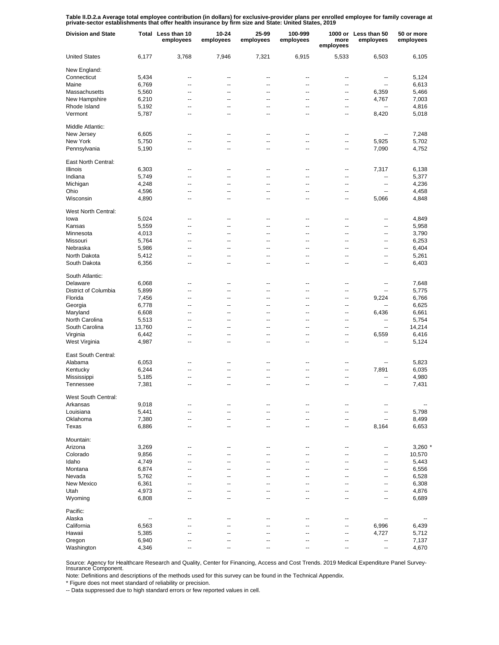Table II.D.2.a Average total employee contribution (in dollars) for exclusive-provider plans per enrolled employee for family coverage at<br>private-sector establishments that offer health insurance by firm size and State: Un

| <b>Division and State</b> |        | Total Less than 10<br>employees | 10-24<br>employees | 25-99<br>employees | 100-999<br>employees | more<br>employees        | 1000 or Less than 50<br>employees | 50 or more<br>employees |
|---------------------------|--------|---------------------------------|--------------------|--------------------|----------------------|--------------------------|-----------------------------------|-------------------------|
| <b>United States</b>      | 6,177  | 3,768                           | 7,946              | 7,321              | 6,915                | 5,533                    | 6,503                             | 6,105                   |
| New England:              |        |                                 |                    |                    |                      |                          |                                   |                         |
| Connecticut               | 5,434  | --                              | --                 | ٠.                 | --                   | --                       | ۰.                                | 5,124                   |
| Maine                     | 6,769  | $\overline{a}$                  | --                 | $\overline{a}$     | $\overline{a}$       | $\overline{a}$           | $\overline{\phantom{a}}$          | 6,613                   |
| Massachusetts             | 5,560  | $\overline{a}$                  | --                 | $\overline{a}$     | $\overline{a}$       | $\overline{a}$           | 6,359                             | 5,466                   |
| New Hampshire             | 6,210  | --                              | --                 | ٠.                 | --                   | --                       | 4,767                             | 7,003                   |
| Rhode Island              | 5,192  | $\overline{a}$                  | --                 | $\overline{a}$     | $\overline{a}$       | --                       | --                                | 4,816                   |
| Vermont                   | 5,787  | --                              | --                 | ٠.                 | --                   | --                       | 8,420                             | 5,018                   |
| Middle Atlantic:          |        |                                 |                    |                    |                      |                          |                                   |                         |
| New Jersey                | 6,605  | $\overline{a}$                  | --                 | $\overline{a}$     | $\overline{a}$       | $\overline{a}$           | --                                | 7,248                   |
| New York                  | 5,750  | $\overline{a}$                  | --                 | $\overline{a}$     | $\overline{a}$       | $\overline{\phantom{a}}$ | 5,925                             | 5,702                   |
| Pennsylvania              | 5,190  | $\overline{a}$                  | --                 | $\overline{a}$     | $\overline{a}$       | ц.                       | 7,090                             | 4,752                   |
| East North Central:       |        |                                 |                    |                    |                      |                          |                                   |                         |
| Illinois                  | 6,303  | --                              | --                 | --                 | --                   | --                       | 7,317                             | 6,138                   |
| Indiana                   | 5,749  | --                              | --                 | --                 | --                   | --                       | --                                | 5,377                   |
| Michigan                  | 4,248  | --                              | --                 | --                 | --                   | --                       | --                                | 4,236                   |
| Ohio                      | 4,596  | --                              | --                 | --                 | --                   | --                       | --                                | 4,458                   |
| Wisconsin                 | 4,890  | $\overline{a}$                  | --                 | $\overline{a}$     | --                   | --                       | 5,066                             | 4,848                   |
| West North Central:       |        |                                 |                    |                    |                      |                          |                                   |                         |
| lowa                      | 5,024  | $\overline{a}$                  | --                 | ٠.                 | --                   | --                       | --                                | 4,849                   |
| Kansas                    | 5,559  | $\overline{a}$                  | --                 | $\overline{a}$     | $\overline{a}$       | $\overline{a}$           | --                                | 5,958                   |
| Minnesota                 | 4,013  | $\overline{a}$                  | --                 | $\overline{a}$     | $\overline{a}$       | $\overline{a}$           | --                                | 3,790                   |
| Missouri                  | 5,764  | --                              | --                 | --                 | --                   | --                       | --                                | 6,253                   |
| Nebraska                  | 5,986  | $\overline{a}$                  | --                 | $\overline{a}$     | $\overline{a}$       | $\overline{a}$           | --                                | 6,404                   |
| North Dakota              | 5,412  | --                              | --                 | ٠.                 | --                   | --                       | ۰.                                | 5,261                   |
| South Dakota              | 6,356  | --                              | --                 | ٠.                 | --                   | ц.                       | ٠.                                | 6,403                   |
| South Atlantic:           |        |                                 |                    |                    |                      |                          |                                   |                         |
| Delaware                  | 6,068  | $\overline{a}$                  | --                 | $\overline{a}$     | $\overline{a}$       | $\overline{a}$           | --                                | 7,648                   |
| District of Columbia      | 5,899  | $\overline{a}$                  | --                 | $\overline{a}$     | $\overline{a}$       | $\overline{a}$           | ц,                                | 5,775                   |
| Florida                   | 7,456  | $\overline{a}$                  | --                 | $\overline{a}$     | $\overline{a}$       | $\overline{a}$           | 9,224                             | 6,766                   |
| Georgia                   | 6,778  | $\overline{a}$                  | --                 | $\overline{a}$     | $\overline{a}$       | $\overline{a}$           | Ш,                                | 6,625                   |
| Maryland                  | 6,608  | --                              | --                 | $\overline{a}$     | $\overline{a}$       | $\overline{a}$           | 6,436                             | 6,661                   |
| North Carolina            | 5,513  | --                              | --                 | --                 | $\overline{a}$       | $\overline{a}$           | ц,                                | 5,754                   |
| South Carolina            | 13,760 | --                              | --                 | --                 | $\overline{a}$       | $\overline{a}$           | --                                | 14,214                  |
| Virginia                  | 6,442  | --                              | --                 | $\overline{a}$     | $\overline{a}$       | $\overline{a}$           | 6,559                             | 6,416                   |
| West Virginia             | 4,987  | --                              | --                 | --                 | --                   | --                       | $\overline{a}$                    | 5,124                   |
| East South Central:       |        |                                 |                    |                    |                      |                          |                                   |                         |
| Alabama                   | 6,053  | --                              | --                 | --                 | --                   | --                       | --                                | 5,823                   |
| Kentucky                  | 6,244  | $\overline{a}$                  | --                 | $\overline{a}$     | --                   | --                       | 7,891                             | 6,035                   |
| Mississippi               | 5,185  | --                              | --                 | --                 | --                   | --                       | ٠.                                | 4,980                   |
| Tennessee                 | 7,381  | $\overline{a}$                  | --                 | $\overline{a}$     | --                   | --                       | --                                | 7,431                   |
| West South Central:       |        |                                 |                    |                    |                      |                          |                                   |                         |
| Arkansas                  | 9,018  |                                 |                    |                    |                      |                          |                                   |                         |
| Louisiana                 | 5,441  | --                              | --                 | ٠.                 | --                   | --                       | ۰.                                | 5,798                   |
| Oklahoma                  | 7,380  | --                              | --                 | --                 | --                   | --                       | $\overline{\phantom{a}}$          | 8,499                   |
| Texas                     | 6,886  | --                              | --                 | --                 | ۰.                   | --                       | 8,164                             | 6,653                   |
| Mountain:                 |        |                                 |                    |                    |                      |                          |                                   |                         |
| Arizona                   | 3,269  | $\overline{a}$                  | --                 | $\overline{a}$     | $\overline{a}$       | $\overline{a}$           | ٠.                                | 3,260                   |
| Colorado                  | 9,856  | --                              | --                 | $\overline{a}$     | $\overline{a}$       | $\overline{a}$           | --                                | 10,570                  |
| Idaho                     | 4,749  | --                              | --                 | --                 | --                   | --                       | ٠.                                | 5,443                   |
| Montana                   | 6,874  | --                              | --                 | --                 | --                   | --                       | --                                | 6,556                   |
| Nevada                    | 5,762  | --                              | --                 | --                 | --                   | --                       | --                                | 6,528                   |
| New Mexico                | 6,361  | --                              | --                 | --                 | --                   | --                       | --                                | 6,308                   |
| Utah                      | 4,973  | --                              | --                 | --                 | --                   | --                       | --                                | 4,876                   |
| Wyoming                   | 6,808  | $\overline{a}$                  | --                 | $\overline{a}$     | $\overline{a}$       | $\overline{a}$           | --                                | 6,689                   |
| Pacific:                  |        |                                 |                    |                    |                      |                          |                                   |                         |
| Alaska                    | --     | --                              | --                 | ٠.                 | --                   | --                       | --                                |                         |
| California                | 6,563  | --                              | --                 | --                 | --                   | --                       | 6,996                             | 6,439                   |
| Hawaii                    | 5,385  | --                              | --                 | --                 | --                   | --                       | 4,727                             | 5,712                   |
| Oregon                    | 6,940  | --                              | --                 | --                 | --                   | --                       | --                                | 7,137                   |
| Washington                | 4,346  | --                              | --                 | --                 | --                   | --                       | --                                | 4,670                   |

Source: Agency for Healthcare Research and Quality, Center for Financing, Access and Cost Trends. 2019 Medical Expenditure Panel Survey-Insurance Component.

Note: Definitions and descriptions of the methods used for this survey can be found in the Technical Appendix.

\* Figure does not meet standard of reliability or precision.

-- Data suppressed due to high standard errors or few reported values in cell.